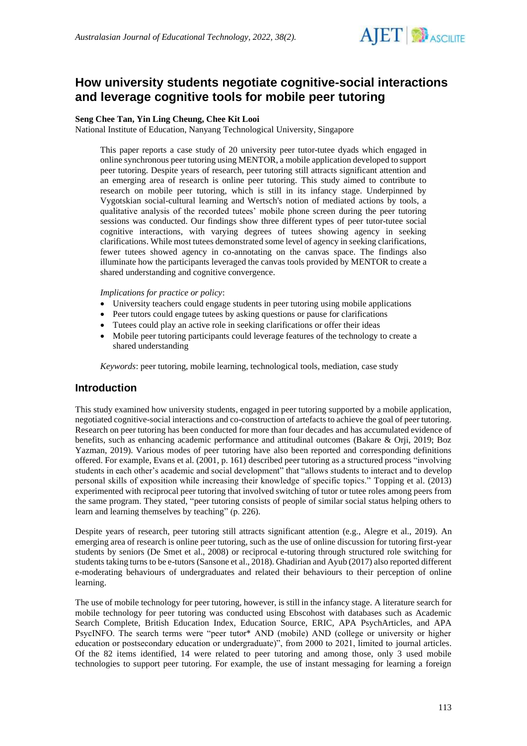

# **How university students negotiate cognitive-social interactions and leverage cognitive tools for mobile peer tutoring**

## **Seng Chee Tan, Yin Ling Cheung, Chee Kit Looi**

National Institute of Education, Nanyang Technological University, Singapore

This paper reports a case study of 20 university peer tutor-tutee dyads which engaged in online synchronous peer tutoring using MENTOR, a mobile application developed to support peer tutoring. Despite years of research, peer tutoring still attracts significant attention and an emerging area of research is online peer tutoring. This study aimed to contribute to research on mobile peer tutoring, which is still in its infancy stage. Underpinned by Vygotskian social-cultural learning and Wertsch's notion of mediated actions by tools, a qualitative analysis of the recorded tutees' mobile phone screen during the peer tutoring sessions was conducted. Our findings show three different types of peer tutor-tutee social cognitive interactions, with varying degrees of tutees showing agency in seeking clarifications. While most tutees demonstrated some level of agency in seeking clarifications, fewer tutees showed agency in co-annotating on the canvas space. The findings also illuminate how the participants leveraged the canvas tools provided by MENTOR to create a shared understanding and cognitive convergence.

### *Implications for practice or policy*:

- University teachers could engage students in peer tutoring using mobile applications
- Peer tutors could engage tutees by asking questions or pause for clarifications
- Tutees could play an active role in seeking clarifications or offer their ideas
- Mobile peer tutoring participants could leverage features of the technology to create a shared understanding

*Keywords*: peer tutoring, mobile learning, technological tools, mediation, case study

# **Introduction**

This study examined how university students, engaged in peer tutoring supported by a mobile application, negotiated cognitive-social interactions and co-construction of artefacts to achieve the goal of peer tutoring. Research on peer tutoring has been conducted for more than four decades and has accumulated evidence of benefits, such as enhancing academic performance and attitudinal outcomes (Bakare & Orji, 2019; Boz Yazman, 2019). Various modes of peer tutoring have also been reported and corresponding definitions offered. For example, Evans et al. (2001, p. 161) described peer tutoring as a structured process "involving students in each other's academic and social development" that "allows students to interact and to develop personal skills of exposition while increasing their knowledge of specific topics." Topping et al. (2013) experimented with reciprocal peer tutoring that involved switching of tutor or tutee roles among peers from the same program. They stated, "peer tutoring consists of people of similar social status helping others to learn and learning themselves by teaching" (p. 226).

Despite years of research, peer tutoring still attracts significant attention (e.g., Alegre et al., 2019). An emerging area of research is online peer tutoring, such as the use of online discussion for tutoring first-year students by seniors (De Smet et al., 2008) or reciprocal e-tutoring through structured role switching for students taking turns to be e-tutors (Sansone et al., 2018). Ghadirian and Ayub (2017) also reported different e-moderating behaviours of undergraduates and related their behaviours to their perception of online learning.

The use of mobile technology for peer tutoring, however, is still in the infancy stage. A literature search for mobile technology for peer tutoring was conducted using Ebscohost with databases such as Academic Search Complete, British Education Index, Education Source, ERIC, APA PsychArticles, and APA PsycINFO. The search terms were "peer tutor\* AND (mobile) AND (college or university or higher education or postsecondary education or undergraduate)", from 2000 to 2021, limited to journal articles. Of the 82 items identified, 14 were related to peer tutoring and among those, only 3 used mobile technologies to support peer tutoring. For example, the use of instant messaging for learning a foreign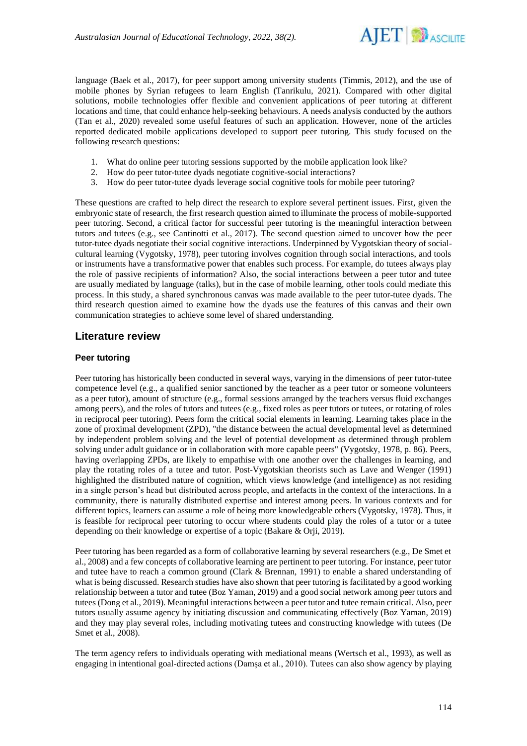

language (Baek et al., 2017), for peer support among university students (Timmis, 2012), and the use of mobile phones by Syrian refugees to learn English (Tanrikulu, 2021). Compared with other digital solutions, mobile technologies offer flexible and convenient applications of peer tutoring at different locations and time, that could enhance help-seeking behaviours. A needs analysis conducted by the authors (Tan et al., 2020) revealed some useful features of such an application. However, none of the articles reported dedicated mobile applications developed to support peer tutoring. This study focused on the following research questions:

- 1. What do online peer tutoring sessions supported by the mobile application look like?
- 2. How do peer tutor-tutee dyads negotiate cognitive-social interactions?
- 3. How do peer tutor-tutee dyads leverage social cognitive tools for mobile peer tutoring?

These questions are crafted to help direct the research to explore several pertinent issues. First, given the embryonic state of research, the first research question aimed to illuminate the process of mobile-supported peer tutoring. Second, a critical factor for successful peer tutoring is the meaningful interaction between tutors and tutees (e.g., see Cantinotti et al., 2017). The second question aimed to uncover how the peer tutor-tutee dyads negotiate their social cognitive interactions. Underpinned by Vygotskian theory of socialcultural learning (Vygotsky, 1978), peer tutoring involves cognition through social interactions, and tools or instruments have a transformative power that enables such process. For example, do tutees always play the role of passive recipients of information? Also, the social interactions between a peer tutor and tutee are usually mediated by language (talks), but in the case of mobile learning, other tools could mediate this process. In this study, a shared synchronous canvas was made available to the peer tutor-tutee dyads. The third research question aimed to examine how the dyads use the features of this canvas and their own communication strategies to achieve some level of shared understanding.

# **Literature review**

### **Peer tutoring**

Peer tutoring has historically been conducted in several ways, varying in the dimensions of peer tutor-tutee competence level (e.g., a qualified senior sanctioned by the teacher as a peer tutor or someone volunteers as a peer tutor), amount of structure (e.g., formal sessions arranged by the teachers versus fluid exchanges among peers), and the roles of tutors and tutees (e.g., fixed roles as peer tutors or tutees, or rotating of roles in reciprocal peer tutoring). Peers form the critical social elements in learning. Learning takes place in the zone of proximal development (ZPD), "the distance between the actual developmental level as determined by independent problem solving and the level of potential development as determined through problem solving under adult guidance or in collaboration with more capable peers" (Vygotsky, 1978, p. 86). Peers, having overlapping ZPDs, are likely to empathise with one another over the challenges in learning, and play the rotating roles of a tutee and tutor. Post-Vygotskian theorists such as Lave and Wenger (1991) highlighted the distributed nature of cognition, which views knowledge (and intelligence) as not residing in a single person's head but distributed across people, and artefacts in the context of the interactions. In a community, there is naturally distributed expertise and interest among peers. In various contexts and for different topics, learners can assume a role of being more knowledgeable others (Vygotsky, 1978). Thus, it is feasible for reciprocal peer tutoring to occur where students could play the roles of a tutor or a tutee depending on their knowledge or expertise of a topic (Bakare & Orji, 2019).

Peer tutoring has been regarded as a form of collaborative learning by several researchers (e.g., De Smet et al., 2008) and a few concepts of collaborative learning are pertinent to peer tutoring. For instance, peer tutor and tutee have to reach a common ground (Clark & Brennan, 1991) to enable a shared understanding of what is being discussed. Research studies have also shown that peer tutoring is facilitated by a good working relationship between a tutor and tutee (Boz Yaman, 2019) and a good social network among peer tutors and tutees (Dong et al., 2019). Meaningful interactions between a peer tutor and tutee remain critical. Also, peer tutors usually assume agency by initiating discussion and communicating effectively (Boz Yaman, 2019) and they may play several roles, including motivating tutees and constructing knowledge with tutees (De Smet et al., 2008).

The term agency refers to individuals operating with mediational means (Wertsch et al., 1993), as well as engaging in intentional goal-directed actions (Damşa et al., 2010). Tutees can also show agency by playing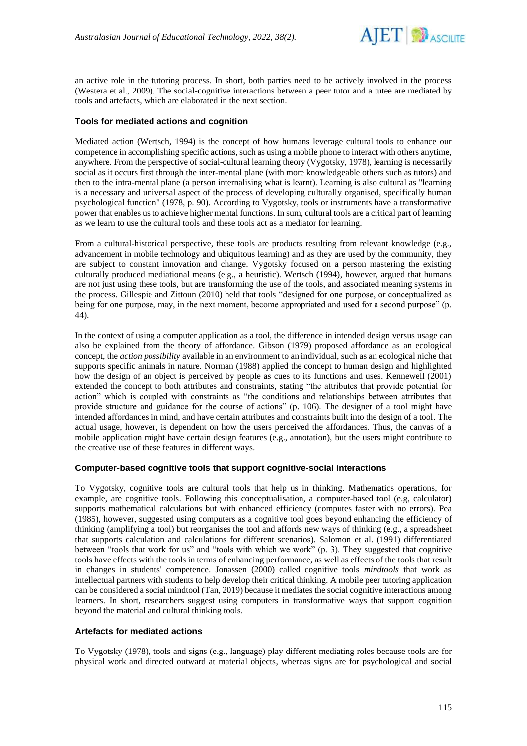

an active role in the tutoring process. In short, both parties need to be actively involved in the process (Westera et al., 2009). The social-cognitive interactions between a peer tutor and a tutee are mediated by tools and artefacts, which are elaborated in the next section.

### **Tools for mediated actions and cognition**

Mediated action (Wertsch, 1994) is the concept of how humans leverage cultural tools to enhance our competence in accomplishing specific actions, such as using a mobile phone to interact with others anytime, anywhere. From the perspective of social-cultural learning theory (Vygotsky, 1978), learning is necessarily social as it occurs first through the inter-mental plane (with more knowledgeable others such as tutors) and then to the intra-mental plane (a person internalising what is learnt). Learning is also cultural as "learning is a necessary and universal aspect of the process of developing culturally organised, specifically human psychological function" (1978, p. 90). According to Vygotsky, tools or instruments have a transformative power that enables us to achieve higher mental functions. In sum, cultural tools are a critical part of learning as we learn to use the cultural tools and these tools act as a mediator for learning.

From a cultural-historical perspective, these tools are products resulting from relevant knowledge (e.g., advancement in mobile technology and ubiquitous learning) and as they are used by the community, they are subject to constant innovation and change. Vygotsky focused on a person mastering the existing culturally produced mediational means (e.g., a heuristic). Wertsch (1994), however, argued that humans are not just using these tools, but are transforming the use of the tools, and associated meaning systems in the process. Gillespie and Zittoun (2010) held that tools "designed for one purpose, or conceptualized as being for one purpose, may, in the next moment, become appropriated and used for a second purpose" (p. 44).

In the context of using a computer application as a tool, the difference in intended design versus usage can also be explained from the theory of affordance. Gibson (1979) proposed affordance as an ecological concept, the *action possibility* available in an environment to an individual, such as an ecological niche that supports specific animals in nature. Norman (1988) applied the concept to human design and highlighted how the design of an object is perceived by people as cues to its functions and uses. Kennewell (2001) extended the concept to both attributes and constraints, stating "the attributes that provide potential for action" which is coupled with constraints as "the conditions and relationships between attributes that provide structure and guidance for the course of actions" (p. 106). The designer of a tool might have intended affordances in mind, and have certain attributes and constraints built into the design of a tool. The actual usage, however, is dependent on how the users perceived the affordances. Thus, the canvas of a mobile application might have certain design features (e.g., annotation), but the users might contribute to the creative use of these features in different ways.

### **Computer-based cognitive tools that support cognitive-social interactions**

To Vygotsky, cognitive tools are cultural tools that help us in thinking. Mathematics operations, for example, are cognitive tools. Following this conceptualisation, a computer-based tool (e.g, calculator) supports mathematical calculations but with enhanced efficiency (computes faster with no errors). Pea (1985), however, suggested using computers as a cognitive tool goes beyond enhancing the efficiency of thinking (amplifying a tool) but reorganises the tool and affords new ways of thinking (e.g., a spreadsheet that supports calculation and calculations for different scenarios). Salomon et al. (1991) differentiated between "tools that work for us" and "tools with which we work" (p. 3). They suggested that cognitive tools have effects with the tools in terms of enhancing performance, as well as effects of the tools that result in changes in students' competence. Jonassen (2000) called cognitive tools *mindtools* that work as intellectual partners with students to help develop their critical thinking. A mobile peer tutoring application can be considered a social mindtool (Tan, 2019) because it mediates the social cognitive interactions among learners. In short, researchers suggest using computers in transformative ways that support cognition beyond the material and cultural thinking tools.

### **Artefacts for mediated actions**

To Vygotsky (1978), tools and signs (e.g., language) play different mediating roles because tools are for physical work and directed outward at material objects, whereas signs are for psychological and social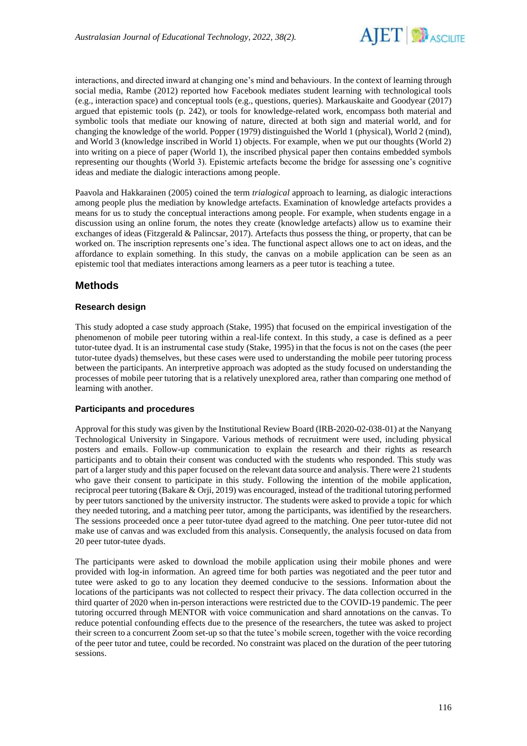

interactions, and directed inward at changing one's mind and behaviours. In the context of learning through social media, Rambe (2012) reported how Facebook mediates student learning with technological tools (e.g., interaction space) and conceptual tools (e.g., questions, queries). Markauskaite and Goodyear (2017) argued that epistemic tools (p. 242), or tools for knowledge-related work, encompass both material and symbolic tools that mediate our knowing of nature, directed at both sign and material world, and for changing the knowledge of the world. Popper (1979) distinguished the World 1 (physical), World 2 (mind), and World 3 (knowledge inscribed in World 1) objects. For example, when we put our thoughts (World 2) into writing on a piece of paper (World 1), the inscribed physical paper then contains embedded symbols representing our thoughts (World 3). Epistemic artefacts become the bridge for assessing one's cognitive ideas and mediate the dialogic interactions among people.

Paavola and Hakkarainen (2005) coined the term *trialogical* approach to learning, as dialogic interactions among people plus the mediation by knowledge artefacts. Examination of knowledge artefacts provides a means for us to study the conceptual interactions among people. For example, when students engage in a discussion using an online forum, the notes they create (knowledge artefacts) allow us to examine their exchanges of ideas (Fitzgerald & Palincsar, 2017). Artefacts thus possess the thing, or property, that can be worked on. The inscription represents one's idea. The functional aspect allows one to act on ideas, and the affordance to explain something. In this study, the canvas on a mobile application can be seen as an epistemic tool that mediates interactions among learners as a peer tutor is teaching a tutee.

# **Methods**

### **Research design**

This study adopted a case study approach (Stake, 1995) that focused on the empirical investigation of the phenomenon of mobile peer tutoring within a real-life context. In this study, a case is defined as a peer tutor-tutee dyad. It is an instrumental case study (Stake, 1995) in that the focus is not on the cases (the peer tutor-tutee dyads) themselves, but these cases were used to understanding the mobile peer tutoring process between the participants. An interpretive approach was adopted as the study focused on understanding the processes of mobile peer tutoring that is a relatively unexplored area, rather than comparing one method of learning with another.

### **Participants and procedures**

Approval for this study was given by the Institutional Review Board (IRB-2020-02-038-01) at the Nanyang Technological University in Singapore. Various methods of recruitment were used, including physical posters and emails. Follow-up communication to explain the research and their rights as research participants and to obtain their consent was conducted with the students who responded. This study was part of a larger study and this paper focused on the relevant data source and analysis. There were 21 students who gave their consent to participate in this study. Following the intention of the mobile application, reciprocal peer tutoring (Bakare & Orji, 2019) was encouraged, instead of the traditional tutoring performed by peer tutors sanctioned by the university instructor. The students were asked to provide a topic for which they needed tutoring, and a matching peer tutor, among the participants, was identified by the researchers. The sessions proceeded once a peer tutor-tutee dyad agreed to the matching. One peer tutor-tutee did not make use of canvas and was excluded from this analysis. Consequently, the analysis focused on data from 20 peer tutor-tutee dyads.

The participants were asked to download the mobile application using their mobile phones and were provided with log-in information. An agreed time for both parties was negotiated and the peer tutor and tutee were asked to go to any location they deemed conducive to the sessions. Information about the locations of the participants was not collected to respect their privacy. The data collection occurred in the third quarter of 2020 when in-person interactions were restricted due to the COVID-19 pandemic. The peer tutoring occurred through MENTOR with voice communication and shard annotations on the canvas. To reduce potential confounding effects due to the presence of the researchers, the tutee was asked to project their screen to a concurrent Zoom set-up so that the tutee's mobile screen, together with the voice recording of the peer tutor and tutee, could be recorded. No constraint was placed on the duration of the peer tutoring sessions.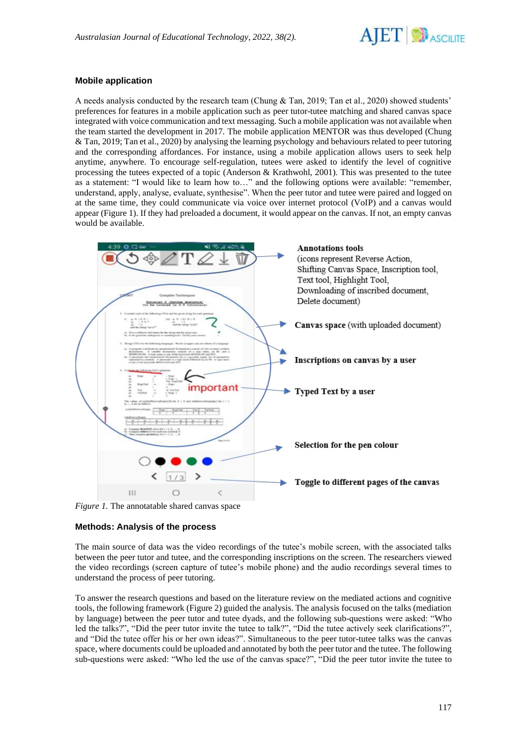

## **Mobile application**

A needs analysis conducted by the research team (Chung & Tan, 2019; Tan et al., 2020) showed students' preferences for features in a mobile application such as peer tutor-tutee matching and shared canvas space integrated with voice communication and text messaging. Such a mobile application was not available when the team started the development in 2017. The mobile application MENTOR was thus developed (Chung  $&$  Tan, 2019; Tan et al., 2020) by analysing the learning psychology and behaviours related to peer tutoring and the corresponding affordances. For instance, using a mobile application allows users to seek help anytime, anywhere. To encourage self-regulation, tutees were asked to identify the level of cognitive processing the tutees expected of a topic (Anderson & Krathwohl, 2001). This was presented to the tutee as a statement: "I would like to learn how to…" and the following options were available: "remember, understand, apply, analyse, evaluate, synthesise". When the peer tutor and tutee were paired and logged on at the same time, they could communicate via voice over internet protocol (VoIP) and a canvas would appear (Figure 1). If they had preloaded a document, it would appear on the canvas. If not, an empty canvas would be available.



*Figure 1.* The annotatable shared canvas space

### **Methods: Analysis of the process**

The main source of data was the video recordings of the tutee's mobile screen, with the associated talks between the peer tutor and tutee, and the corresponding inscriptions on the screen. The researchers viewed the video recordings (screen capture of tutee's mobile phone) and the audio recordings several times to understand the process of peer tutoring.

To answer the research questions and based on the literature review on the mediated actions and cognitive tools, the following framework (Figure 2) guided the analysis. The analysis focused on the talks (mediation by language) between the peer tutor and tutee dyads, and the following sub-questions were asked: "Who led the talks?", "Did the peer tutor invite the tutee to talk?", "Did the tutee actively seek clarifications?", and "Did the tutee offer his or her own ideas?". Simultaneous to the peer tutor-tutee talks was the canvas space, where documents could be uploaded and annotated by both the peer tutor and the tutee. The following sub-questions were asked: "Who led the use of the canvas space?", "Did the peer tutor invite the tutee to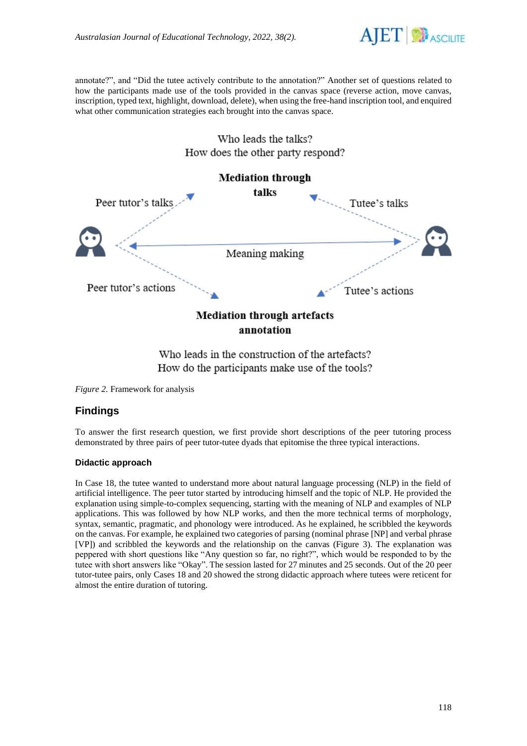

annotate?", and "Did the tutee actively contribute to the annotation?" Another set of questions related to how the participants made use of the tools provided in the canvas space (reverse action, move canvas, inscription, typed text, highlight, download, delete), when using the free-hand inscription tool, and enquired what other communication strategies each brought into the canvas space.



# Who leads the talks? How does the other party respond?

Who leads in the construction of the artefacts? How do the participants make use of the tools?

*Figure 2.* Framework for analysis

# **Findings**

To answer the first research question, we first provide short descriptions of the peer tutoring process demonstrated by three pairs of peer tutor-tutee dyads that epitomise the three typical interactions.

### **Didactic approach**

In Case 18, the tutee wanted to understand more about natural language processing (NLP) in the field of artificial intelligence. The peer tutor started by introducing himself and the topic of NLP. He provided the explanation using simple-to-complex sequencing, starting with the meaning of NLP and examples of NLP applications. This was followed by how NLP works, and then the more technical terms of morphology, syntax, semantic, pragmatic, and phonology were introduced. As he explained, he scribbled the keywords on the canvas. For example, he explained two categories of parsing (nominal phrase [NP] and verbal phrase [VP]) and scribbled the keywords and the relationship on the canvas (Figure 3). The explanation was peppered with short questions like "Any question so far, no right?", which would be responded to by the tutee with short answers like "Okay". The session lasted for 27 minutes and 25 seconds. Out of the 20 peer tutor-tutee pairs, only Cases 18 and 20 showed the strong didactic approach where tutees were reticent for almost the entire duration of tutoring.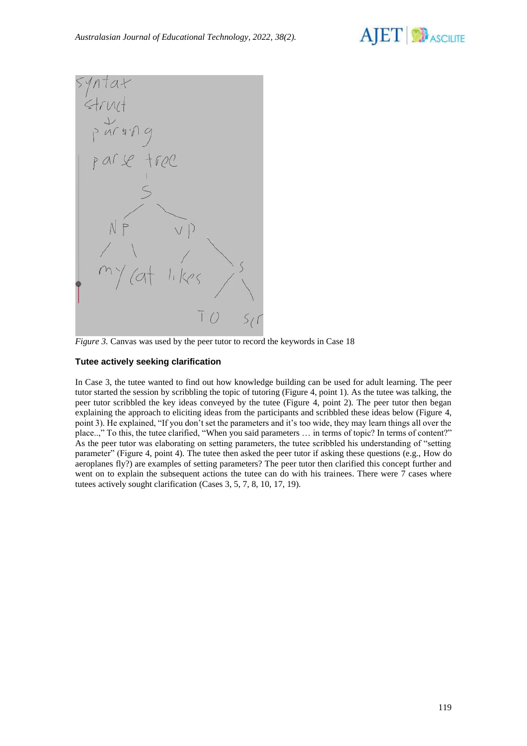



*Figure 3.* Canvas was used by the peer tutor to record the keywords in Case 18

### **Tutee actively seeking clarification**

In Case 3, the tutee wanted to find out how knowledge building can be used for adult learning. The peer tutor started the session by scribbling the topic of tutoring (Figure 4, point 1). As the tutee was talking, the peer tutor scribbled the key ideas conveyed by the tutee (Figure 4, point 2). The peer tutor then began explaining the approach to eliciting ideas from the participants and scribbled these ideas below (Figure 4, point 3). He explained, "If you don't set the parameters and it's too wide, they may learn things all over the place..," To this, the tutee clarified, "When you said parameters … in terms of topic? In terms of content?" As the peer tutor was elaborating on setting parameters, the tutee scribbled his understanding of "setting parameter" (Figure 4, point 4). The tutee then asked the peer tutor if asking these questions (e.g., How do aeroplanes fly?) are examples of setting parameters? The peer tutor then clarified this concept further and went on to explain the subsequent actions the tutee can do with his trainees. There were 7 cases where tutees actively sought clarification (Cases 3, 5, 7, 8, 10, 17, 19).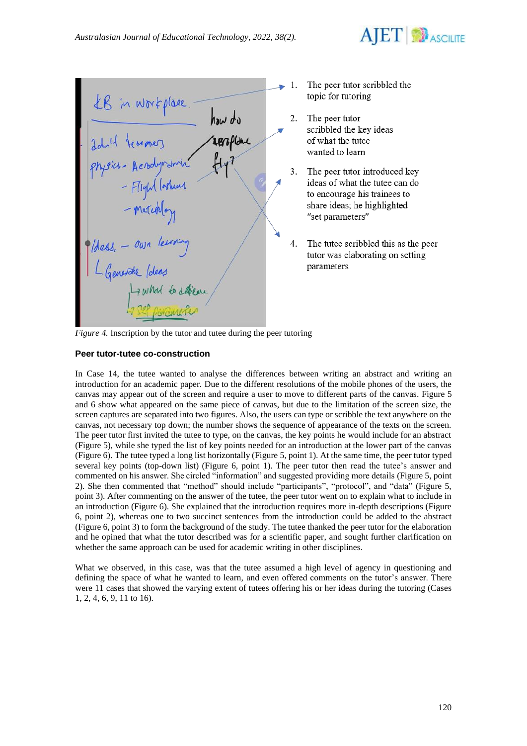

|                            |    | Th                        |
|----------------------------|----|---------------------------|
| KB in workplace.           |    | toj                       |
| how do                     |    | Th                        |
| Idull learners<br>resplant |    | SCI<br>of                 |
|                            |    | wε                        |
| physics- Acrodyvania       | 3. | Th                        |
| - Flight Toshund           |    | id                        |
|                            |    | to                        |
| - meteology                |    | sh<br>$^{\prime\prime}$ S |
|                            |    |                           |
| dess. - own learning       |    | Th                        |
|                            |    | tut                       |
| L Generate lolees          |    | рa                        |
| I what to delive           |    |                           |
| 47 Sep parameter           |    |                           |
|                            |    |                           |

- e peer tutor scribbled the pic for tutoring
- e peer tutor ribbled the key ideas what the tutee anted to learn
- e peer tutor introduced key eas of what the tutee can do encourage his trainees to are ideas; he highlighted et parameters"
- e tutee scribbled this as the peer tor was elaborating on setting rameters

*Figure 4.* Inscription by the tutor and tutee during the peer tutoring

# **Peer tutor-tutee co-construction**

In Case 14, the tutee wanted to analyse the differences between writing an abstract and writing an introduction for an academic paper. Due to the different resolutions of the mobile phones of the users, the canvas may appear out of the screen and require a user to move to different parts of the canvas. Figure 5 and 6 show what appeared on the same piece of canvas, but due to the limitation of the screen size, the screen captures are separated into two figures. Also, the users can type or scribble the text anywhere on the canvas, not necessary top down; the number shows the sequence of appearance of the texts on the screen. The peer tutor first invited the tutee to type, on the canvas, the key points he would include for an abstract (Figure 5), while she typed the list of key points needed for an introduction at the lower part of the canvas (Figure 6). The tutee typed a long list horizontally (Figure 5, point 1). At the same time, the peer tutor typed several key points (top-down list) (Figure 6, point 1). The peer tutor then read the tutee's answer and commented on his answer. She circled "information" and suggested providing more details (Figure 5, point 2). She then commented that "method" should include "participants", "protocol", and "data" (Figure 5, point 3). After commenting on the answer of the tutee, the peer tutor went on to explain what to include in an introduction (Figure 6). She explained that the introduction requires more in-depth descriptions (Figure 6, point 2), whereas one to two succinct sentences from the introduction could be added to the abstract (Figure 6, point 3) to form the background of the study. The tutee thanked the peer tutor for the elaboration and he opined that what the tutor described was for a scientific paper, and sought further clarification on whether the same approach can be used for academic writing in other disciplines.

What we observed, in this case, was that the tutee assumed a high level of agency in questioning and defining the space of what he wanted to learn, and even offered comments on the tutor's answer. There were 11 cases that showed the varying extent of tutees offering his or her ideas during the tutoring (Cases 1, 2, 4, 6, 9, 11 to 16).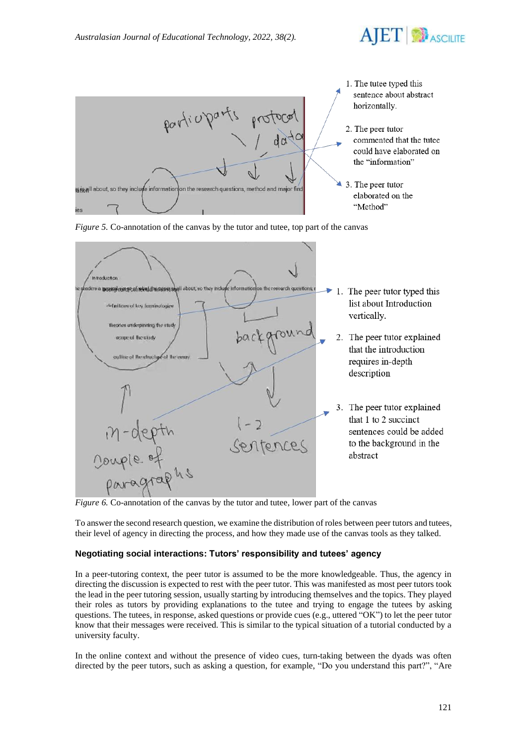



*Figure 5.* Co-annotation of the canvas by the tutor and tutee, top part of the canvas



*Figure 6.* Co-annotation of the canvas by the tutor and tutee, lower part of the canvas

To answer the second research question, we examine the distribution of roles between peer tutors and tutees, their level of agency in directing the process, and how they made use of the canvas tools as they talked.

### **Negotiating social interactions: Tutors' responsibility and tutees' agency**

In a peer-tutoring context, the peer tutor is assumed to be the more knowledgeable. Thus, the agency in directing the discussion is expected to rest with the peer tutor. This was manifested as most peer tutors took the lead in the peer tutoring session, usually starting by introducing themselves and the topics. They played their roles as tutors by providing explanations to the tutee and trying to engage the tutees by asking questions. The tutees, in response, asked questions or provide cues (e.g., uttered "OK") to let the peer tutor know that their messages were received. This is similar to the typical situation of a tutorial conducted by a university faculty.

In the online context and without the presence of video cues, turn-taking between the dyads was often directed by the peer tutors, such as asking a question, for example, "Do you understand this part?", "Are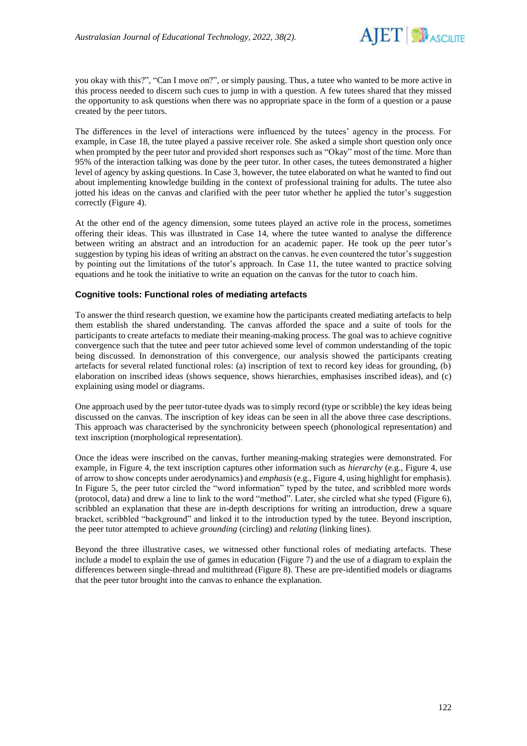

you okay with this?", "Can I move on?", or simply pausing. Thus, a tutee who wanted to be more active in this process needed to discern such cues to jump in with a question. A few tutees shared that they missed the opportunity to ask questions when there was no appropriate space in the form of a question or a pause created by the peer tutors.

The differences in the level of interactions were influenced by the tutees' agency in the process. For example, in Case 18, the tutee played a passive receiver role. She asked a simple short question only once when prompted by the peer tutor and provided short responses such as "Okay" most of the time. More than 95% of the interaction talking was done by the peer tutor. In other cases, the tutees demonstrated a higher level of agency by asking questions. In Case 3, however, the tutee elaborated on what he wanted to find out about implementing knowledge building in the context of professional training for adults. The tutee also jotted his ideas on the canvas and clarified with the peer tutor whether he applied the tutor's suggestion correctly (Figure 4).

At the other end of the agency dimension, some tutees played an active role in the process, sometimes offering their ideas. This was illustrated in Case 14, where the tutee wanted to analyse the difference between writing an abstract and an introduction for an academic paper. He took up the peer tutor's suggestion by typing his ideas of writing an abstract on the canvas. he even countered the tutor's suggestion by pointing out the limitations of the tutor's approach. In Case 11, the tutee wanted to practice solving equations and he took the initiative to write an equation on the canvas for the tutor to coach him.

### **Cognitive tools: Functional roles of mediating artefacts**

To answer the third research question, we examine how the participants created mediating artefacts to help them establish the shared understanding. The canvas afforded the space and a suite of tools for the participants to create artefacts to mediate their meaning-making process. The goal was to achieve cognitive convergence such that the tutee and peer tutor achieved some level of common understanding of the topic being discussed. In demonstration of this convergence, our analysis showed the participants creating artefacts for several related functional roles: (a) inscription of text to record key ideas for grounding, (b) elaboration on inscribed ideas (shows sequence, shows hierarchies, emphasises inscribed ideas), and (c) explaining using model or diagrams.

One approach used by the peer tutor-tutee dyads was to simply record (type or scribble) the key ideas being discussed on the canvas. The inscription of key ideas can be seen in all the above three case descriptions. This approach was characterised by the synchronicity between speech (phonological representation) and text inscription (morphological representation).

Once the ideas were inscribed on the canvas, further meaning-making strategies were demonstrated. For example, in Figure 4, the text inscription captures other information such as *hierarchy* (e.g., Figure 4, use of arrow to show concepts under aerodynamics) and *emphasis* (e.g., Figure 4, using highlight for emphasis). In Figure 5, the peer tutor circled the "word information" typed by the tutee, and scribbled more words (protocol, data) and drew a line to link to the word "method". Later, she circled what she typed (Figure 6), scribbled an explanation that these are in-depth descriptions for writing an introduction, drew a square bracket, scribbled "background" and linked it to the introduction typed by the tutee. Beyond inscription, the peer tutor attempted to achieve *grounding* (circling) and *relating* (linking lines).

Beyond the three illustrative cases, we witnessed other functional roles of mediating artefacts. These include a model to explain the use of games in education (Figure 7) and the use of a diagram to explain the differences between single-thread and multithread (Figure 8). These are pre-identified models or diagrams that the peer tutor brought into the canvas to enhance the explanation.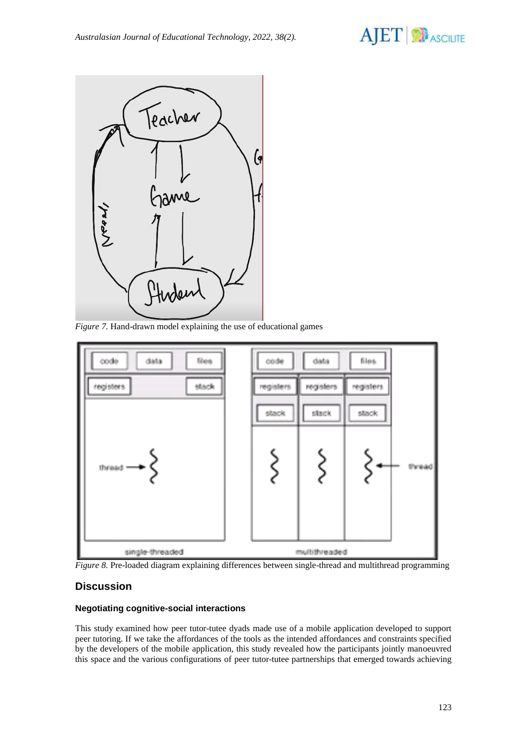



*Figure 7.* Hand-drawn model explaining the use of educational games



*Figure 8.* Pre-loaded diagram explaining differences between single-thread and multithread programming

# **Discussion**

### **Negotiating cognitive-social interactions**

This study examined how peer tutor-tutee dyads made use of a mobile application developed to support peer tutoring. If we take the affordances of the tools as the intended affordances and constraints specified by the developers of the mobile application, this study revealed how the participants jointly manoeuvred this space and the various configurations of peer tutor-tutee partnerships that emerged towards achieving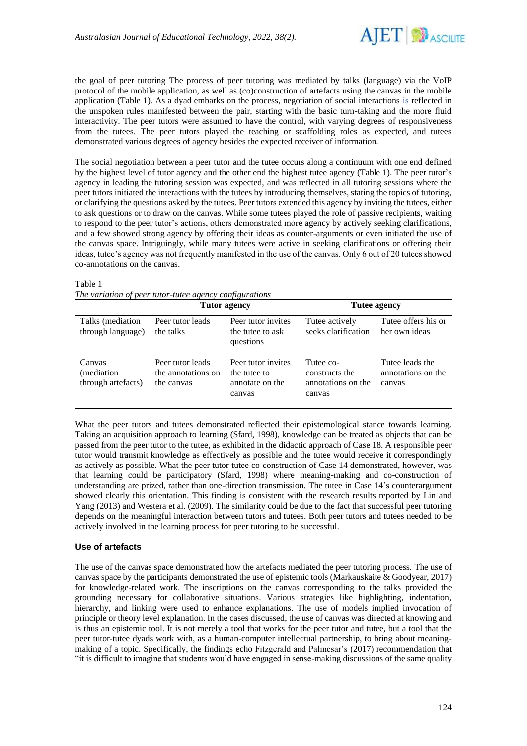

the goal of peer tutoring The process of peer tutoring was mediated by talks (language) via the VoIP protocol of the mobile application, as well as (co)construction of artefacts using the canvas in the mobile application (Table 1). As a dyad embarks on the process, negotiation of social interactions is reflected in the unspoken rules manifested between the pair, starting with the basic turn-taking and the more fluid interactivity. The peer tutors were assumed to have the control, with varying degrees of responsiveness from the tutees. The peer tutors played the teaching or scaffolding roles as expected, and tutees demonstrated various degrees of agency besides the expected receiver of information.

The social negotiation between a peer tutor and the tutee occurs along a continuum with one end defined by the highest level of tutor agency and the other end the highest tutee agency (Table 1). The peer tutor's agency in leading the tutoring session was expected, and was reflected in all tutoring sessions where the peer tutors initiated the interactions with the tutees by introducing themselves, stating the topics of tutoring, or clarifying the questions asked by the tutees. Peer tutors extended this agency by inviting the tutees, either to ask questions or to draw on the canvas. While some tutees played the role of passive recipients, waiting to respond to the peer tutor's actions, others demonstrated more agency by actively seeking clarifications, and a few showed strong agency by offering their ideas as counter-arguments or even initiated the use of the canvas space. Intriguingly, while many tutees were active in seeking clarifications or offering their ideas, tutee's agency was not frequently manifested in the use of the canvas. Only 6 out of 20 tutees showed co-annotations on the canvas.

#### Table 1

| The variation of peer tutor-tutee agency configurations |  |
|---------------------------------------------------------|--|
|---------------------------------------------------------|--|

|                                            | Tutor agency                                         |                                                                 | Tutee agency                                                |                                                 |  |
|--------------------------------------------|------------------------------------------------------|-----------------------------------------------------------------|-------------------------------------------------------------|-------------------------------------------------|--|
| Talks (mediation)<br>through language)     | Peer tutor leads<br>the talks                        | Peer tutor invites<br>the tutee to ask<br>questions             | Tutee actively<br>seeks clarification                       | Tutee offers his or<br>her own ideas            |  |
| Canvas<br>(mediation<br>through artefacts) | Peer tutor leads<br>the annotations on<br>the canvas | Peer tutor invites<br>the tutee to<br>annotate on the<br>canvas | Tutee co-<br>constructs the<br>annotations on the<br>canvas | Tutee leads the<br>annotations on the<br>canvas |  |

What the peer tutors and tutees demonstrated reflected their epistemological stance towards learning. Taking an acquisition approach to learning (Sfard, 1998), knowledge can be treated as objects that can be passed from the peer tutor to the tutee, as exhibited in the didactic approach of Case 18. A responsible peer tutor would transmit knowledge as effectively as possible and the tutee would receive it correspondingly as actively as possible. What the peer tutor-tutee co-construction of Case 14 demonstrated, however, was that learning could be participatory (Sfard, 1998) where meaning-making and co-construction of understanding are prized, rather than one-direction transmission. The tutee in Case 14's counterargument showed clearly this orientation. This finding is consistent with the research results reported by Lin and Yang (2013) and Westera et al. (2009). The similarity could be due to the fact that successful peer tutoring depends on the meaningful interaction between tutors and tutees. Both peer tutors and tutees needed to be actively involved in the learning process for peer tutoring to be successful.

### **Use of artefacts**

The use of the canvas space demonstrated how the artefacts mediated the peer tutoring process. The use of canvas space by the participants demonstrated the use of epistemic tools (Markauskaite & Goodyear, 2017) for knowledge-related work. The inscriptions on the canvas corresponding to the talks provided the grounding necessary for collaborative situations. Various strategies like highlighting, indentation, hierarchy, and linking were used to enhance explanations. The use of models implied invocation of principle or theory level explanation. In the cases discussed, the use of canvas was directed at knowing and is thus an epistemic tool. It is not merely a tool that works for the peer tutor and tutee, but a tool that the peer tutor-tutee dyads work with, as a human-computer intellectual partnership, to bring about meaningmaking of a topic. Specifically, the findings echo Fitzgerald and Palincsar's (2017) recommendation that "it is difficult to imagine that students would have engaged in sense-making discussions of the same quality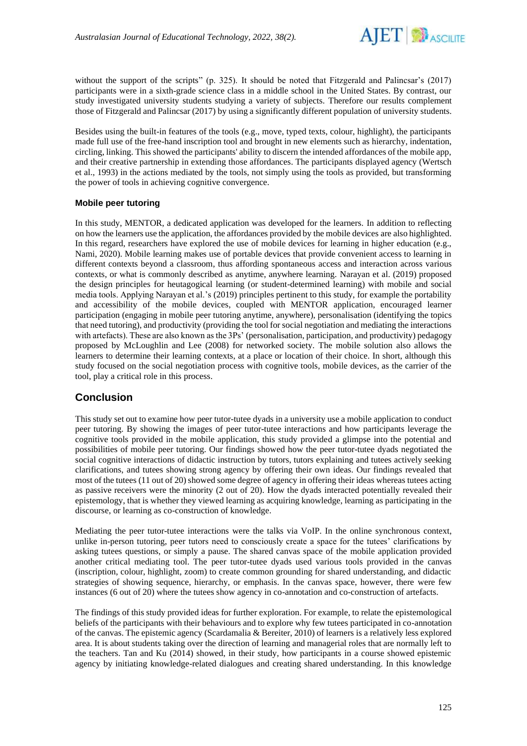

without the support of the scripts" (p. 325). It should be noted that Fitzgerald and Palincsar's (2017) participants were in a sixth-grade science class in a middle school in the United States. By contrast, our study investigated university students studying a variety of subjects. Therefore our results complement those of Fitzgerald and Palincsar (2017) by using a significantly different population of university students.

Besides using the built-in features of the tools (e.g., move, typed texts, colour, highlight), the participants made full use of the free-hand inscription tool and brought in new elements such as hierarchy, indentation, circling, linking. This showed the participants' ability to discern the intended affordances of the mobile app, and their creative partnership in extending those affordances. The participants displayed agency (Wertsch et al., 1993) in the actions mediated by the tools, not simply using the tools as provided, but transforming the power of tools in achieving cognitive convergence.

### **Mobile peer tutoring**

In this study, MENTOR, a dedicated application was developed for the learners. In addition to reflecting on how the learners use the application, the affordances provided by the mobile devices are also highlighted. In this regard, researchers have explored the use of mobile devices for learning in higher education (e.g., Nami, 2020). Mobile learning makes use of portable devices that provide convenient access to learning in different contexts beyond a classroom, thus affording spontaneous access and interaction across various contexts, or what is commonly described as anytime, anywhere learning. Narayan et al. (2019) proposed the design principles for heutagogical learning (or student-determined learning) with mobile and social media tools. Applying Narayan et al.'s (2019) principles pertinent to this study, for example the portability and accessibility of the mobile devices, coupled with MENTOR application, encouraged learner participation (engaging in mobile peer tutoring anytime, anywhere), personalisation (identifying the topics that need tutoring), and productivity (providing the tool for social negotiation and mediating the interactions with artefacts). These are also known as the 3Ps' (personalisation, participation, and productivity) pedagogy proposed by McLoughlin and Lee (2008) for networked society. The mobile solution also allows the learners to determine their learning contexts, at a place or location of their choice. In short, although this study focused on the social negotiation process with cognitive tools, mobile devices, as the carrier of the tool, play a critical role in this process.

# **Conclusion**

This study set out to examine how peer tutor-tutee dyads in a university use a mobile application to conduct peer tutoring. By showing the images of peer tutor-tutee interactions and how participants leverage the cognitive tools provided in the mobile application, this study provided a glimpse into the potential and possibilities of mobile peer tutoring. Our findings showed how the peer tutor-tutee dyads negotiated the social cognitive interactions of didactic instruction by tutors, tutors explaining and tutees actively seeking clarifications, and tutees showing strong agency by offering their own ideas. Our findings revealed that most of the tutees (11 out of 20) showed some degree of agency in offering their ideas whereas tutees acting as passive receivers were the minority (2 out of 20). How the dyads interacted potentially revealed their epistemology, that is whether they viewed learning as acquiring knowledge, learning as participating in the discourse, or learning as co-construction of knowledge.

Mediating the peer tutor-tutee interactions were the talks via VoIP. In the online synchronous context, unlike in-person tutoring, peer tutors need to consciously create a space for the tutees' clarifications by asking tutees questions, or simply a pause. The shared canvas space of the mobile application provided another critical mediating tool. The peer tutor-tutee dyads used various tools provided in the canvas (inscription, colour, highlight, zoom) to create common grounding for shared understanding, and didactic strategies of showing sequence, hierarchy, or emphasis. In the canvas space, however, there were few instances (6 out of 20) where the tutees show agency in co-annotation and co-construction of artefacts.

The findings of this study provided ideas for further exploration. For example, to relate the epistemological beliefs of the participants with their behaviours and to explore why few tutees participated in co-annotation of the canvas. The epistemic agency (Scardamalia & Bereiter, 2010) of learners is a relatively less explored area. It is about students taking over the direction of learning and managerial roles that are normally left to the teachers. Tan and Ku (2014) showed, in their study, how participants in a course showed epistemic agency by initiating knowledge-related dialogues and creating shared understanding. In this knowledge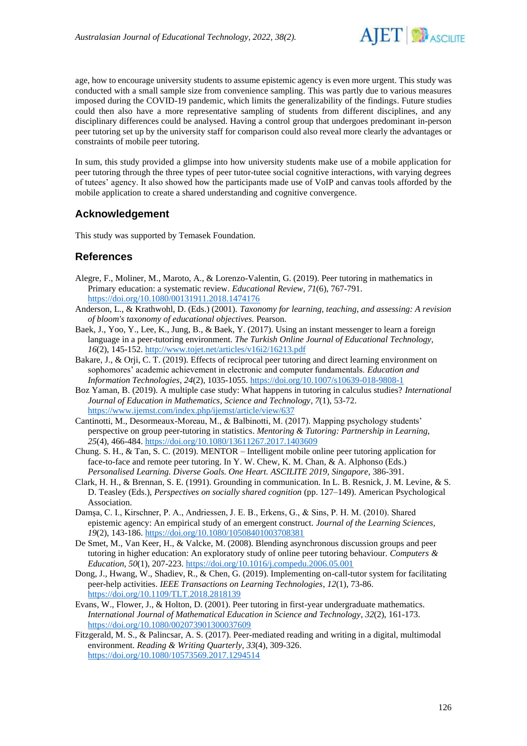

age, how to encourage university students to assume epistemic agency is even more urgent. This study was conducted with a small sample size from convenience sampling. This was partly due to various measures imposed during the COVID-19 pandemic, which limits the generalizability of the findings. Future studies could then also have a more representative sampling of students from different disciplines, and any disciplinary differences could be analysed. Having a control group that undergoes predominant in-person peer tutoring set up by the university staff for comparison could also reveal more clearly the advantages or constraints of mobile peer tutoring.

In sum, this study provided a glimpse into how university students make use of a mobile application for peer tutoring through the three types of peer tutor-tutee social cognitive interactions, with varying degrees of tutees' agency. It also showed how the participants made use of VoIP and canvas tools afforded by the mobile application to create a shared understanding and cognitive convergence.

# **Acknowledgement**

This study was supported by Temasek Foundation.

# **References**

- Alegre, F., Moliner, M., Maroto, A., & Lorenzo-Valentin, G. (2019). Peer tutoring in mathematics in Primary education: a systematic review. *Educational Review*, *71*(6), 767-791. <https://doi.org/10.1080/00131911.2018.1474176>
- Anderson, L., & Krathwohl, D. (Eds.) (2001). *Taxonomy for learning, teaching, and assessing: A revision of bloom's taxonomy of educational objectives.* Pearson.
- Baek, J., Yoo, Y., Lee, K., Jung, B., & Baek, Y. (2017). Using an instant messenger to learn a foreign language in a peer-tutoring environment. *The Turkish Online Journal of Educational Technology, 16*(2), 145-152.<http://www.tojet.net/articles/v16i2/16213.pdf>
- Bakare, J., & Orji, C. T. (2019). Effects of reciprocal peer tutoring and direct learning environment on sophomores' academic achievement in electronic and computer fundamentals. *Education and Information Technologies*, *24*(2), 1035-1055.<https://doi.org/10.1007/s10639-018-9808-1>
- Boz Yaman, B. (2019). A multiple case study: What happens in tutoring in calculus studies? *International Journal of Education in Mathematics, Science and Technology*, *7*(1), 53-72. <https://www.ijemst.com/index.php/ijemst/article/view/637>
- Cantinotti, M., Desormeaux-Moreau, M., & Balbinotti, M. (2017). Mapping psychology students' perspective on group peer-tutoring in statistics. *Mentoring & Tutoring: Partnership in Learning, 25*(4), 466-484.<https://doi.org/10.1080/13611267.2017.1403609>
- Chung. S. H., & Tan, S. C. (2019). MENTOR Intelligent mobile online peer tutoring application for face-to-face and remote peer tutoring. In Y. W. Chew, K. M. Chan, & A. Alphonso (Eds.) *Personalised Learning. Diverse Goals. One Heart. ASCILITE 2019, Singapore*, 386-391.
- Clark, H. H., & Brennan, S. E. (1991). Grounding in communication. In L. B. Resnick, J. M. Levine, & S. D. Teasley (Eds.), *Perspectives on socially shared cognition* (pp. 127–149). American Psychological Association.
- Damşa, C. I., Kirschner, P. A., Andriessen, J. E. B., Erkens, G., & Sins, P. H. M. (2010). Shared epistemic agency: An empirical study of an emergent construct. *Journal of the Learning Sciences, 19*(2), 143-186.<https://doi.org/10.1080/10508401003708381>
- De Smet, M., Van Keer, H., & Valcke, M. (2008). Blending asynchronous discussion groups and peer tutoring in higher education: An exploratory study of online peer tutoring behaviour. *Computers & Education*, *50*(1), 207-223.<https://doi.org/10.1016/j.compedu.2006.05.001>
- Dong, J., Hwang, W., Shadiev, R., & Chen, G. (2019). Implementing on-call-tutor system for facilitating peer-help activities. *IEEE Transactions on Learning Technologies*, *12*(1), 73-86. <https://doi.org/10.1109/TLT.2018.2818139>
- Evans, W., Flower, J., & Holton, D. (2001). Peer tutoring in first-year undergraduate mathematics. *International Journal of Mathematical Education in Science and Technology*, *32*(2), 161-173. <https://doi.org/10.1080/002073901300037609>
- Fitzgerald, M. S., & Palincsar, A. S. (2017). Peer-mediated reading and writing in a digital, multimodal environment. *Reading & Writing Quarterly*, *33*(4), 309-326. <https://doi.org/10.1080/10573569.2017.1294514>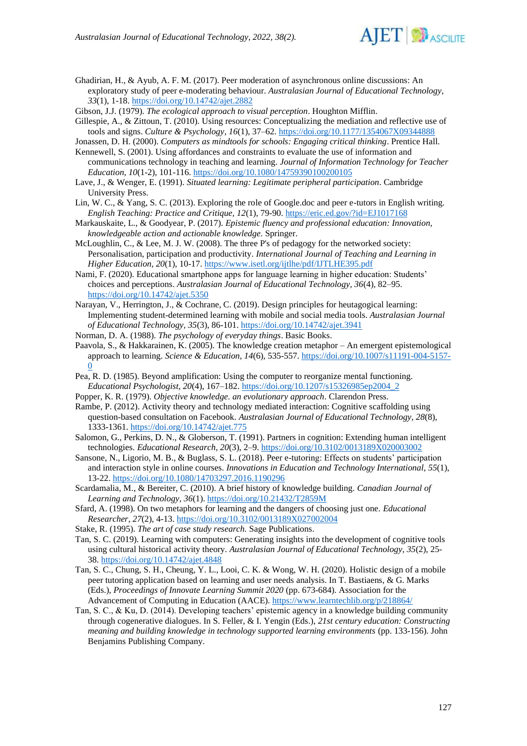

Ghadirian, H., & Ayub, A. F. M. (2017). Peer moderation of asynchronous online discussions: An exploratory study of peer e-moderating behaviour. *Australasian Journal of Educational Technology, 33*(1), 1-18.<https://doi.org/10.14742/ajet.2882>

Gibson, J.J. (1979). *The ecological approach to visual perception*. Houghton Mifflin.

- Gillespie, A., & Zittoun, T. (2010). Using resources: Conceptualizing the mediation and reflective use of tools and signs. *Culture & Psychology, 16*(1), 37–62. <https://doi.org/10.1177/1354067X09344888>
- Jonassen, D. H. (2000). *Computers as mindtools for schools: Engaging critical thinking*. Prentice Hall.
- Kennewell, S. (2001). Using affordances and constraints to evaluate the use of information and communications technology in teaching and learning. *Journal of Information Technology for Teacher Education, 10*(1-2), 101-116. <https://doi.org/10.1080/14759390100200105>
- Lave, J., & Wenger, E. (1991). *Situated learning: Legitimate peripheral participation*. Cambridge University Press.
- Lin, W. C., & Yang, S. C. (2013). Exploring the role of Google.doc and peer e-tutors in English writing. *English Teaching: Practice and Critique, 12*(1), 79-90. <https://eric.ed.gov/?id=EJ1017168>
- Markauskaite, L., & Goodyear, P. (2017). *Epistemic fluency and professional education: Innovation, knowledgeable action and actionable knowledge.* Springer.
- McLoughlin, C., & Lee, M. J. W. (2008). The three P's of pedagogy for the networked society: Personalisation, participation and productivity. *International Journal of Teaching and Learning in Higher Education, 20*(1), 10-17.<https://www.isetl.org/ijtlhe/pdf/IJTLHE395.pdf>
- Nami, F. (2020). Educational smartphone apps for language learning in higher education: Students' choices and perceptions. *Australasian Journal of Educational Technology, 36*(4), 82–95. <https://doi.org/10.14742/ajet.5350>
- Narayan, V., Herrington, J., & Cochrane, C. (2019). Design principles for heutagogical learning: Implementing student-determined learning with mobile and social media tools. *Australasian Journal of Educational Technology, 35*(3), 86-101.<https://doi.org/10.14742/ajet.3941>
- Norman, D. A. (1988). *The psychology of everyday things*. Basic Books.
- Paavola, S., & Hakkarainen, K. (2005). The knowledge creation metaphor An emergent epistemological approach to learning. *Science & Education, 14*(6)*,* 535-557. [https://doi.org/10.1007/s11191-004-5157-](https://doi.org/10.1007/s11191-004-5157-0)  $\Omega$
- Pea, R. D. (1985). Beyond amplification: Using the computer to reorganize mental functioning. *Educational Psychologist, 20*(4), 167–182. [https://doi.org/10.1207/s15326985ep2004\\_2](https://doi.org/10.1207/s15326985ep2004_2)
- Popper, K. R. (1979). *Objective knowledge. an evolutionary approach*. Clarendon Press.

Rambe, P. (2012). Activity theory and technology mediated interaction: Cognitive scaffolding using question-based consultation on Facebook. *Australasian Journal of Educational Technology, 28*(8), 1333-1361. <https://doi.org/10.14742/ajet.775>

- Salomon, G., Perkins, D. N., & Globerson, T. (1991). Partners in cognition: Extending human intelligent technologies. *Educational Research, 20*(3), 2–9. <https://doi.org/10.3102/0013189X020003002>
- Sansone, N., Ligorio, M. B., & Buglass, S. L. (2018). Peer e-tutoring: Effects on students' participation and interaction style in online courses. *Innovations in Education and Technology International*, *55*(1), 13-22[. https://doi.org/10.1080/14703297.2016.1190296](https://doi.org/10.1080/14703297.2016.1190296)
- Scardamalia, M., & Bereiter, C. (2010). A brief history of knowledge building. *Canadian Journal of Learning and Technology, 36*(1). <https://doi.org/10.21432/T2859M>
- Sfard, A. (1998). On two metaphors for learning and the dangers of choosing just one. *Educational Researcher, 27*(2), 4-13. <https://doi.org/10.3102/0013189X027002004>
- Stake, R. (1995). *The art of case study research.* Sage Publications.
- Tan, S. C. (2019). Learning with computers: Generating insights into the development of cognitive tools using cultural historical activity theory. *Australasian Journal of Educational Technology, 35*(2), 25- 38.<https://doi.org/10.14742/ajet.4848>
- Tan, S. C., Chung, S. H., Cheung, Y. L., Looi, C. K. & Wong, W. H. (2020). Holistic design of a mobile peer tutoring application based on learning and user needs analysis. In T. Bastiaens, & G. Marks (Eds.), *Proceedings of Innovate Learning Summit 2020* (pp. 673-684). Association for the Advancement of Computing in Education (AACE).<https://www.learntechlib.org/p/218864/>
- Tan, S. C., & Ku, D. (2014). Developing teachers' epistemic agency in a knowledge building community through cogenerative dialogues. In S. Feller, & I. Yengin (Eds.), *21st century education: Constructing meaning and building knowledge in technology supported learning environments* (pp. 133-156). John Benjamins Publishing Company.